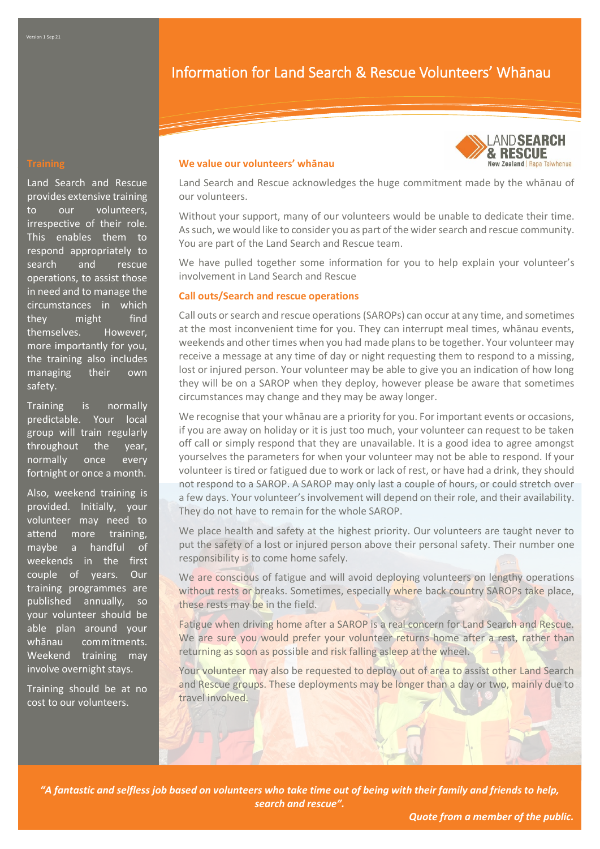# Information for Land Search & Rescue Volunteers' Whānau

Land Search and Rescue provides extensive training to our volunteers, irrespective of their role. This enables them to respond appropriately to search and rescue operations, to assist those in need and to manage the circumstances in which they might find themselves. However, more importantly for you, the training also includes managing their own safety.

Training is normally predictable. Your local group will train regularly throughout the year, normally once every fortnight or once a month.

Also, weekend training is provided. Initially, your volunteer may need to attend more training, maybe a handful of weekends in the first couple of years. Our training programmes are published annually, so your volunteer should be able plan around your whānau commitments. Weekend training may involve overnight stays.

Training should be at no cost to our volunteers.

### **We value our volunteers' whānau**



Land Search and Rescue acknowledges the huge commitment made by the whānau of our volunteers.

Without your support, many of our volunteers would be unable to dedicate their time. As such, we would like to consider you as part of the wider search and rescue community. You are part of the Land Search and Rescue team.

We have pulled together some information for you to help explain your volunteer's involvement in Land Search and Rescue

## **Call outs/Search and rescue operations**

Call outs or search and rescue operations (SAROPs) can occur at any time, and sometimes at the most inconvenient time for you. They can interrupt meal times, whānau events, weekends and other times when you had made plans to be together. Your volunteer may receive a message at any time of day or night requesting them to respond to a missing, lost or injured person. Your volunteer may be able to give you an indication of how long they will be on a SAROP when they deploy, however please be aware that sometimes circumstances may change and they may be away longer.

We recognise that your whānau are a priority for you. For important events or occasions, if you are away on holiday or it is just too much, your volunteer can request to be taken off call or simply respond that they are unavailable. It is a good idea to agree amongst yourselves the parameters for when your volunteer may not be able to respond. If your volunteer is tired or fatigued due to work or lack of rest, or have had a drink, they should not respond to a SAROP. A SAROP may only last a couple of hours, or could stretch over a few days. Your volunteer's involvement will depend on their role, and their availability. They do not have to remain for the whole SAROP.

We place health and safety at the highest priority. Our volunteers are taught never to put the safety of a lost or injured person above their personal safety. Their number one responsibility is to come home safely.

We are conscious of fatigue and will avoid deploying volunteers on lengthy operations without rests or breaks. Sometimes, especially where back country SAROPs take place, these rests may be in the field.

Fatigue when driving home after a SAROP is a real concern for Land Search and Rescue. We are sure you would prefer your volunteer returns home after a rest, rather than returning as soon as possible and risk falling asleep at the wheel.

Your volunteer may also be requested to deploy out of area to assist other Land Search and Rescue groups. These deployments may be longer than a day or two, mainly due to travel involved.

*"A fantastic and selfless job based on volunteers who take time out of being with their family and friends to help, search and rescue".*